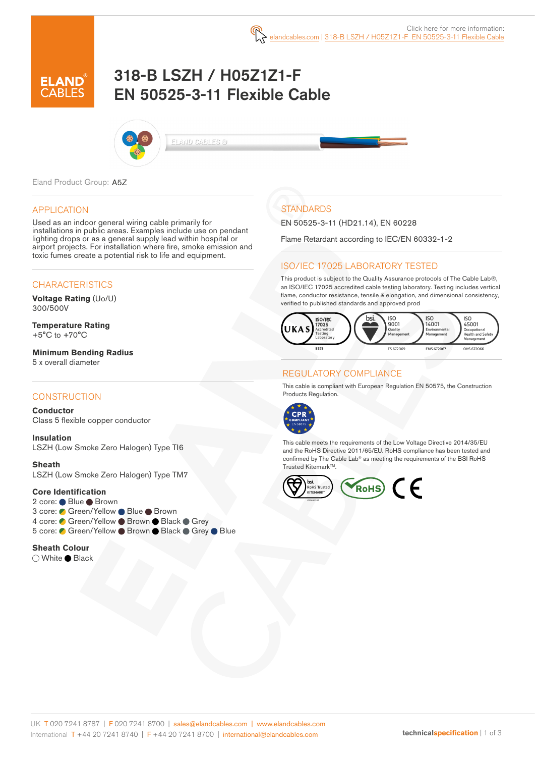

# 318-B LSZH / H05Z1Z1-F EN 50525-3-11 Flexible Cable



ELAND CABLES ©

Eland Product Group: A5Z

#### APPLICATION

Used as an indoor general wiring cable primarily for installations in public areas. Examples include use on pendant lighting drops or as a general supply lead within hospital or airport projects. For installation where fire, smoke emission and toxic fumes create a potential risk to life and equipment.

#### **CHARACTERISTICS**

**Voltage Rating** (Uo/U) 300/500V

**Temperature Rating** +5°C to +70°C

**Minimum Bending Radius**  5 x overall diameter

#### **CONSTRUCTION**

**Conductor** Class 5 flexible copper conductor

**Insulation** LSZH (Low Smoke Zero Halogen) Type TI6

**Sheath** LSZH (Low Smoke Zero Halogen) Type TM7

#### **Core Identification**

2 core: ● Blue ● Brown 3 core: ● Green/Yellow ● Blue ● Brown 4 core: Green/Yellow Brown Black Grey 5 core: Green/Yellow Brown Black Grey Blue

**Sheath Colour**

○ White ● Black

# **STANDARDS**

EN 50525-3-11 (HD21.14), EN 60228

Flame Retardant according to IEC/EN 60332-1-2

### ISO/IEC 17025 LABORATORY TESTED

This product is subject to the Quality Assurance protocols of The Cable Lab®, an ISO/IEC 17025 accredited cable testing laboratory. Testing includes vertical flame, conductor resistance, tensile & elongation, and dimensional consistency, verified to published standards and approved prod



### REGULATORY COMPLIANCE

This cable is compliant with European Regulation EN 50575, the Construction Products Regulation.



This cable meets the requirements of the Low Voltage Directive 2014/35/EU and the RoHS Directive 2011/65/EU. RoHS compliance has been tested and confirmed by The Cable Lab® as meeting the requirements of the BSI RoHS Trusted Kitemark™.

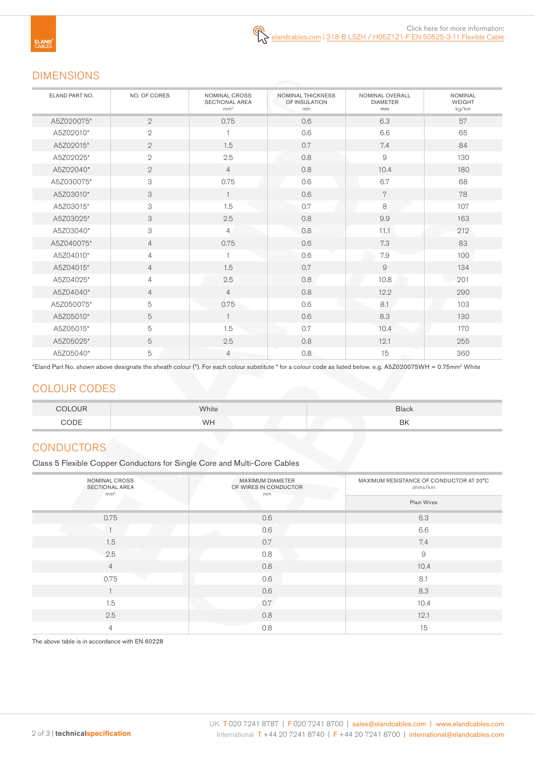# DIMENSIONS

| ELAND PART NO. | NO. OF CORES              | NOMINAL CROSS<br><b>SECTIONAL AREA</b><br>mm <sup>2</sup> | NOMINAL THICKNESS<br>OF INSULATION<br>mm | NOMINAL OVERALL<br><b>DIAMETER</b><br>mm | <b>NOMINAL</b><br><b>WEIGHT</b><br>kg/km |
|----------------|---------------------------|-----------------------------------------------------------|------------------------------------------|------------------------------------------|------------------------------------------|
| A5Z020075*     | $\overline{2}$            | 0.75                                                      | 0.6                                      | 6.3                                      | 57                                       |
| A5Z02010*      | $\mathbf{2}$              |                                                           | 0.6                                      | 6.6                                      | 65                                       |
| A5Z02015*      | $\mathbf{2}$              | 1.5                                                       | 0.7                                      | 7.4                                      | 84                                       |
| A5Z02025*      | $\mathbf{2}$              | 2.5                                                       | 0.8                                      | $\mathsf{9}$                             | 130                                      |
| A5Z02040*      | $\overline{2}$            | $\overline{4}$                                            | 0.8                                      | 10.4                                     | 180                                      |
| A5Z030075*     | $\ensuremath{\mathsf{3}}$ | 0.75                                                      | 0.6                                      | 6.7                                      | 68                                       |
| A5Z03010*      | 3                         | $\overline{1}$                                            | 0.6                                      | 7                                        | 78                                       |
| A5Z03015*      | $\ensuremath{\mathsf{3}}$ | 1.5                                                       | 0.7                                      | 8                                        | 107                                      |
| A5Z03025*      | 3                         | 2.5                                                       | 0.8                                      | 9.9                                      | 163                                      |
| A5Z03040*      | $\ensuremath{\mathsf{3}}$ | $\overline{4}$                                            | 0.8                                      | 11.1                                     | 212                                      |
| A5Z040075*     | $\overline{4}$            | 0.75                                                      | 0.6                                      | 7.3                                      | 83                                       |
| A5Z04010*      | $\overline{4}$            |                                                           | 0.6                                      | 7.9                                      | 100                                      |
| A5Z04015*      | $\overline{4}$            | 1.5                                                       | 0.7                                      | $\overline{9}$                           | 134                                      |
| A5Z04025*      | $\overline{4}$            | 2.5                                                       | 0.8                                      | 10.8                                     | 201                                      |
| A5Z04040*      | $\overline{4}$            | $\overline{4}$                                            | 0.8                                      | 12.2                                     | 290                                      |
| A5Z050075*     | 5                         | 0.75                                                      | 0.6                                      | 8.1                                      | 103                                      |
| A5Z05010*      | 5                         | $\mathbf{1}$                                              | 0.6                                      | 8.3                                      | 130                                      |
| A5Z05015*      | 5                         | 1.5                                                       | 0.7                                      | 10.4                                     | 170                                      |
| A5Z05025*      | 5                         | 2.5                                                       | 0.8                                      | 12.1                                     | 255                                      |
| A5Z05040*      | 5                         | $\overline{4}$                                            | 0.8                                      | 15                                       | 360                                      |

\*Eland Part No. shown above designate the sheath colour (\*). For each colour substitute \* for a colour code as listed below. e.g. A5Z020075WH = 0.75mm2 White

# COLOUR CODES

| <b>COLOUR</b> | White | <b>Black</b> |
|---------------|-------|--------------|
| CODE          | WH    | BK           |

# **CONDUCTORS**

Class 5 Flexible Copper Conductors for Single Core and Multi-Core Cables

| NOMINAL CROSS<br><b>SECTIONAL AREA</b><br>mm <sup>2</sup> | MAXIMUM DIAMETER<br>OF WIRES IN CONDUCTOR<br>mm | MAXIMUM RESISTANCE OF CONDUCTOR AT 20°C<br>ohms/km |  |
|-----------------------------------------------------------|-------------------------------------------------|----------------------------------------------------|--|
|                                                           |                                                 | Plain Wires                                        |  |
| 0.75                                                      | 0.6                                             | 6.3                                                |  |
|                                                           | 0.6                                             | 6.6                                                |  |
| 1.5                                                       | 0.7                                             | 7.4                                                |  |
| 2.5                                                       | 0.8                                             | $\mathcal{G}% _{0}$                                |  |
| $\overline{4}$                                            | 0.8                                             | 10.4                                               |  |
| 0.75                                                      | 0.6                                             | 8.1                                                |  |
|                                                           | 0.6                                             | 8.3                                                |  |
| 1.5                                                       | 0.7                                             | 10.4                                               |  |
| 2.5                                                       | 0.8                                             | 12.1                                               |  |
| 4                                                         | 0.8                                             | 15                                                 |  |

The above table is in accordance with EN 60228